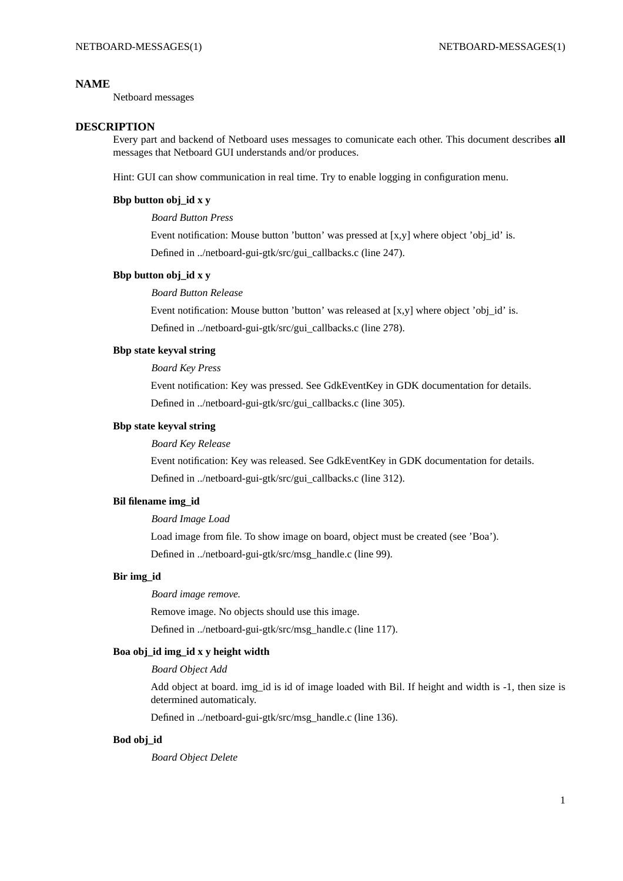### **NAME**

Netboard messages

### **DESCRIPTION**

Every part and backend of Netboard uses messages to comunicate each other. This document describes **all** messages that Netboard GUI understands and/or produces.

Hint: GUI can show communication in real time. Try to enable logging in configuration menu.

# **Bbp button obj\_id x y**

### *Board Button Press*

Event notification: Mouse button 'button' was pressed at  $[x, y]$  where object 'obj\_id' is. Defined in ../netboard-gui-gtk/src/gui\_callbacks.c (line 247).

#### **Bbp button obj\_id x y**

*Board Button Release*

Event notification: Mouse button 'button' was released at  $[x,y]$  where object 'obj\_id' is. Defined in ../netboard-gui-gtk/src/gui\_callbacks.c (line 278).

## **Bbp state keyval string**

*Board Key Press*

Event notification: Key was pressed. See GdkEventKey in GDK documentation for details. Defined in ../netboard-gui-gtk/src/gui\_callbacks.c (line 305).

#### **Bbp state keyval string**

# *Board Key Release*

Event notification: Key was released. See GdkEventKey in GDK documentation for details. Defined in ../netboard-gui-gtk/src/gui\_callbacks.c (line 312).

# **Bil filename img\_id**

### *Board Image Load*

Load image from file. To show image on board, object must be created (see 'Boa'). Defined in ../netboard-gui-gtk/src/msg\_handle.c (line 99).

#### **Bir img\_id**

*Board image remove.*

Remove image. No objects should use this image.

Defined in ../netboard-gui-gtk/src/msg\_handle.c (line 117).

#### **Boa obj\_id img\_id x y height width**

# *Board Object Add*

Add object at board. img\_id is id of image loaded with Bil. If height and width is -1, then size is determined automaticaly.

Defined in ../netboard-gui-gtk/src/msg\_handle.c (line 136).

### **Bod obj\_id**

*Board Object Delete*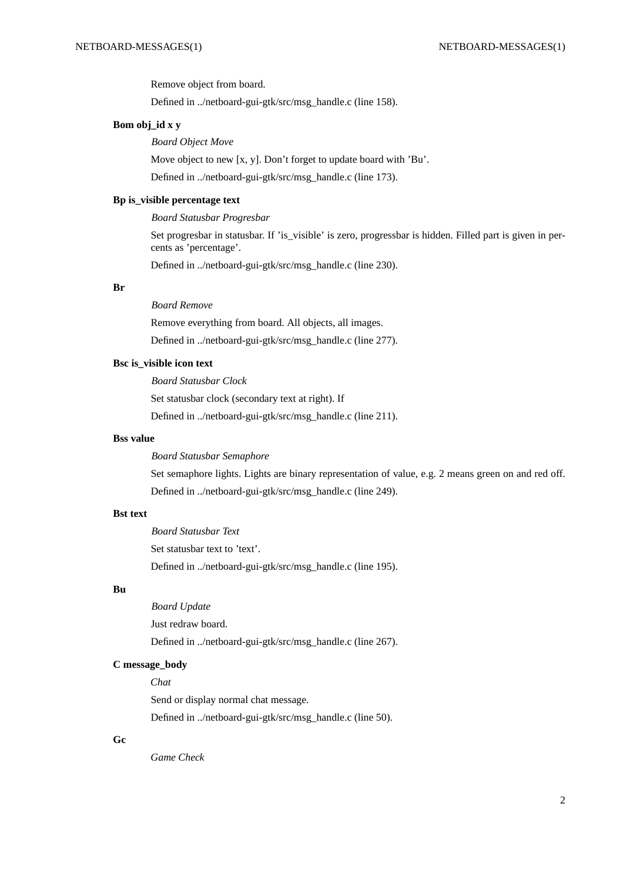Remove object from board.

Defined in ../netboard-gui-gtk/src/msg\_handle.c (line 158).

## **Bom obj\_id x y**

# *Board Object Move*

Move object to new [x, y]. Don't forget to update board with 'Bu'.

Defined in ../netboard-gui-gtk/src/msg\_handle.c (line 173).

# **Bp is\_visible percentage text**

#### *Board Statusbar Progresbar*

Set progresbar in statusbar. If 'is\_visible' is zero, progressbar is hidden. Filled part is given in percents as 'percentage'.

Defined in ../netboard-gui-gtk/src/msg\_handle.c (line 230).

### **Br**

## *Board Remove*

Remove everything from board. All objects, all images. Defined in ../netboard-gui-gtk/src/msg\_handle.c (line 277).

# **Bsc is\_visible icon text**

*Board Statusbar Clock* Set statusbar clock (secondary text at right). If Defined in ../netboard-gui-gtk/src/msg\_handle.c (line 211).

#### **Bss value**

*Board Statusbar Semaphore*

Set semaphore lights. Lights are binary representation of value, e.g. 2 means green on and red off. Defined in ../netboard-gui-gtk/src/msg\_handle.c (line 249).

# **Bst text**

*Board Statusbar Text* Set statusbar text to 'text'. Defined in ../netboard-gui-gtk/src/msg\_handle.c (line 195).

# **Bu**

*Board Update* Just redraw board. Defined in ../netboard-gui-gtk/src/msg\_handle.c (line 267).

#### **C message\_body**

### *Chat*

Send or display normal chat message. Defined in ../netboard-gui-gtk/src/msg\_handle.c (line 50).

### **Gc**

*Game Check*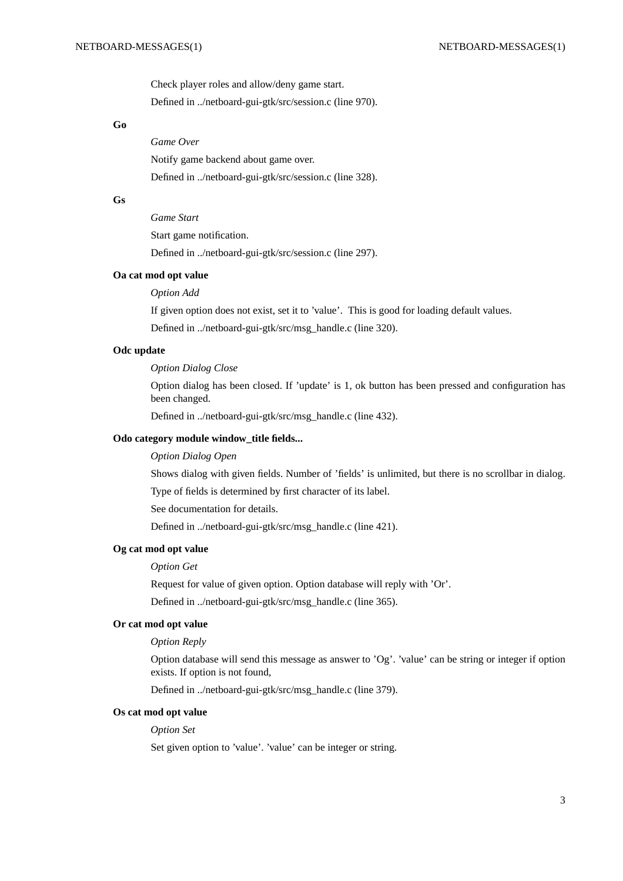Check player roles and allow/deny game start. Defined in ../netboard-gui-gtk/src/session.c (line 970).

## **Go**

*Game Over* Notify game backend about game over. Defined in ../netboard-gui-gtk/src/session.c (line 328).

# **Gs**

*Game Start*

Start game notification.

Defined in ../netboard-gui-gtk/src/session.c (line 297).

## **Oa cat mod opt value**

*Option Add*

If given option does not exist, set it to 'value'. This is good for loading default values.

Defined in ../netboard-gui-gtk/src/msg\_handle.c (line 320).

## **Odc update**

#### *Option Dialog Close*

Option dialog has been closed. If 'update' is 1, ok button has been pressed and configuration has been changed.

Defined in ../netboard-gui-gtk/src/msg\_handle.c (line 432).

#### **Odo category module window\_title fields...**

*Option Dialog Open*

Shows dialog with given fields. Number of 'fields' is unlimited, but there is no scrollbar in dialog.

Type of fields is determined by first character of its label.

See documentation for details.

Defined in ../netboard-gui-gtk/src/msg\_handle.c (line 421).

#### **Og cat mod opt value**

*Option Get*

Request for value of given option. Option database will reply with 'Or'.

Defined in ../netboard-gui-gtk/src/msg\_handle.c (line 365).

### **Or cat mod opt value**

## *Option Reply*

Option database will send this message as answer to 'Og'. 'value' can be string or integer if option exists. If option is not found,

Defined in ../netboard-gui-gtk/src/msg\_handle.c (line 379).

### **Os cat mod opt value**

*Option Set*

Set given option to 'value'. 'value' can be integer or string.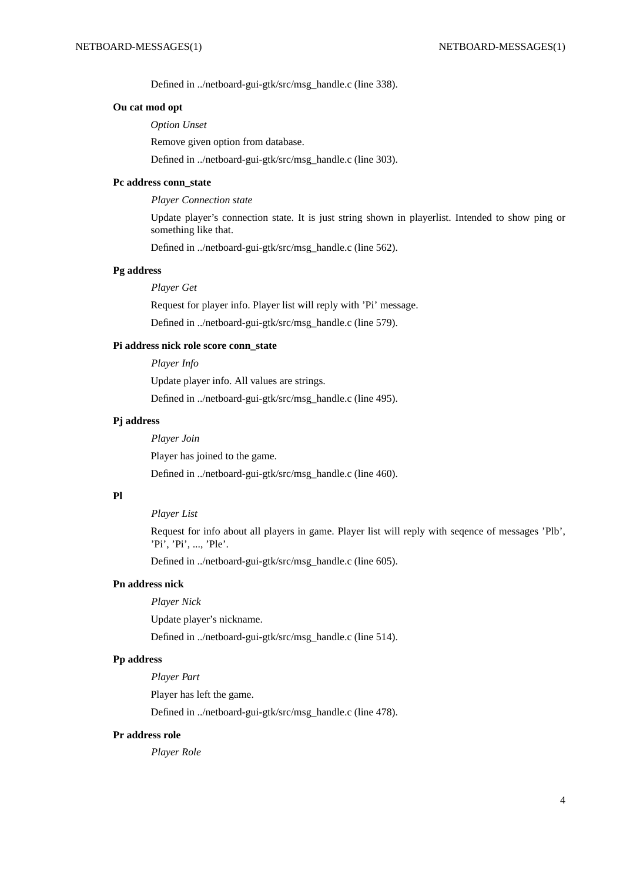Defined in ../netboard-gui-gtk/src/msg\_handle.c (line 338).

## **Ou cat mod opt**

*Option Unset*

Remove given option from database.

Defined in ../netboard-gui-gtk/src/msg\_handle.c (line 303).

## **Pc address conn\_state**

*Player Connection state*

Update player's connection state. It is just string shown in playerlist. Intended to show ping or something like that.

Defined in ../netboard-gui-gtk/src/msg\_handle.c (line 562).

#### **Pg address**

### *Player Get*

Request for player info. Player list will reply with 'Pi' message.

Defined in ../netboard-gui-gtk/src/msg\_handle.c (line 579).

#### **Pi address nick role score conn\_state**

*Player Info*

Update player info. All values are strings.

Defined in ../netboard-gui-gtk/src/msg\_handle.c (line 495).

# **Pj address**

*Player Join*

Player has joined to the game.

Defined in ../netboard-gui-gtk/src/msg\_handle.c (line 460).

#### **Pl**

# *Player List*

Request for info about all players in game. Player list will reply with seqence of messages 'Plb', 'Pi', 'Pi', ..., 'Ple'.

Defined in ../netboard-gui-gtk/src/msg\_handle.c (line 605).

## **Pn address nick**

*Player Nick*

Update player's nickname.

Defined in ../netboard-gui-gtk/src/msg\_handle.c (line 514).

## **Pp address**

*Player Part*

Player has left the game.

Defined in ../netboard-gui-gtk/src/msg\_handle.c (line 478).

#### **Pr address role**

*Player Role*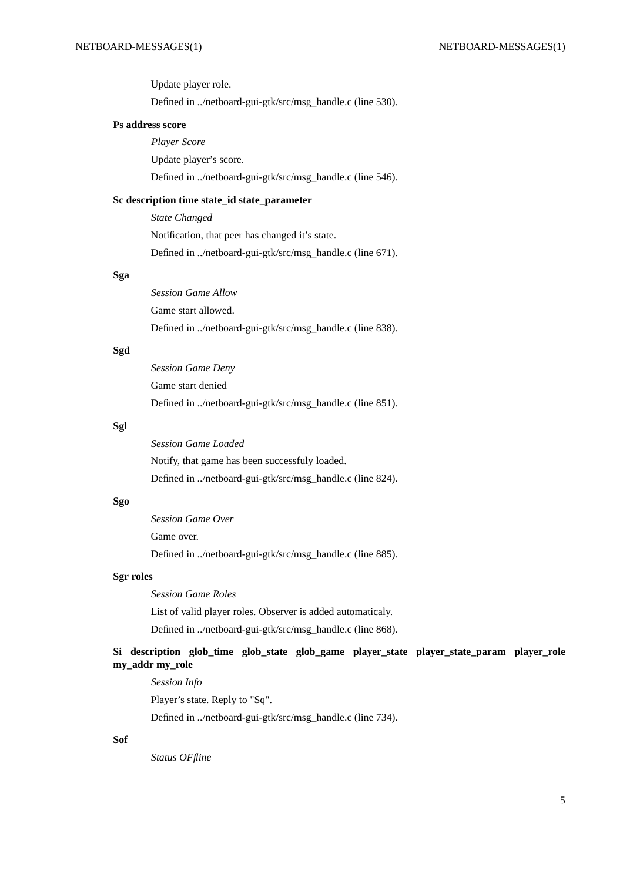Update player role. Defined in ../netboard-gui-gtk/src/msg\_handle.c (line 530).

#### **Ps address score**

*Player Score* Update player's score. Defined in ../netboard-gui-gtk/src/msg\_handle.c (line 546).

#### **Sc description time state\_id state\_parameter**

*State Changed* Notification, that peer has changed it's state. Defined in ../netboard-gui-gtk/src/msg\_handle.c (line 671).

## **Sga**

*Session Game Allow* Game start allowed. Defined in ../netboard-gui-gtk/src/msg\_handle.c (line 838).

# **Sgd**

*Session Game Deny* Game start denied Defined in ../netboard-gui-gtk/src/msg\_handle.c (line 851).

### **Sgl**

*Session Game Loaded* Notify, that game has been successfuly loaded. Defined in ../netboard-gui-gtk/src/msg\_handle.c (line 824).

## **Sgo**

*Session Game Over* Game over. Defined in ../netboard-gui-gtk/src/msg\_handle.c (line 885).

#### **Sgr roles**

*Session Game Roles* List of valid player roles. Observer is added automaticaly. Defined in ../netboard-gui-gtk/src/msg\_handle.c (line 868).

# Si description glob time glob state glob game player state player state param player role **my\_addr my\_role**

*Session Info* Player's state. Reply to "Sq". Defined in ../netboard-gui-gtk/src/msg\_handle.c (line 734).

## **Sof**

*Status OFfline*